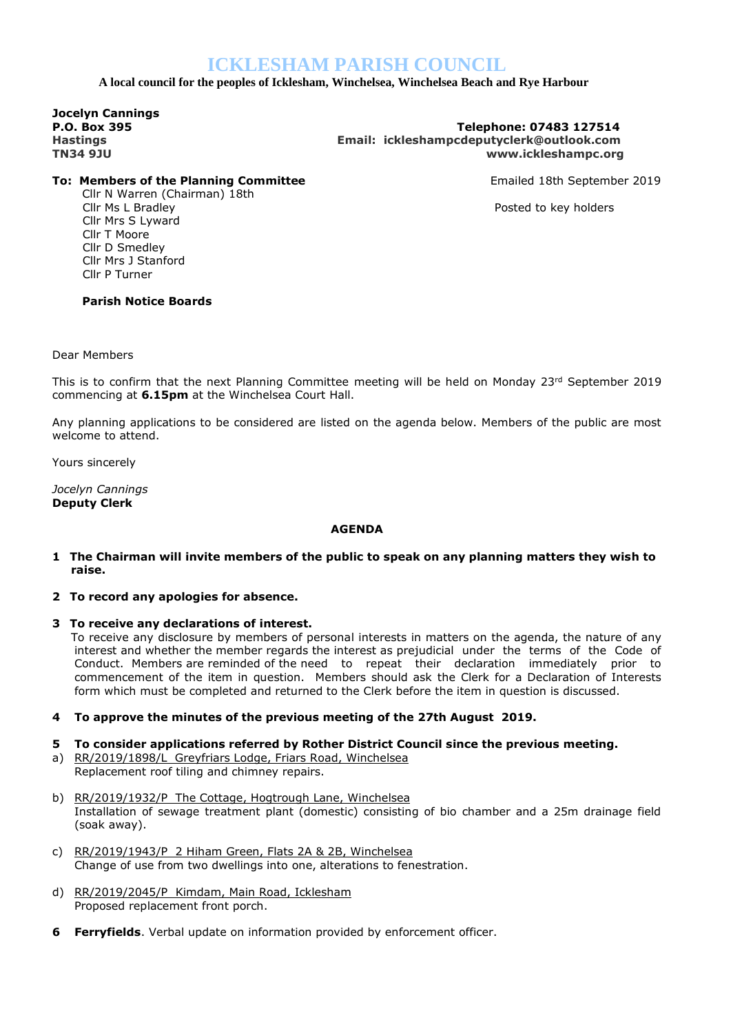# **ICKLESHAM PARISH COUNCIL**

 **A local council for the peoples of Icklesham, Winchelsea, Winchelsea Beach and Rye Harbour**

**Jocelyn Cannings** 

### **P.O. Box 395 Telephone: 07483 127514 Hastings Email: ickleshampcdeputyclerk@outlook.com TN34 9JU www.ickleshampc.org**

## **To: Members of the Planning Committee Emailed 18th September 2019**

Cllr N Warren (Chairman) 18th Cllr Ms L Bradley Posted to key holders Cllr Mrs S Lyward Cllr T Moore Cllr D Smedley Cllr Mrs J Stanford Cllr P Turner

## **Parish Notice Boards**

Dear Members

This is to confirm that the next Planning Committee meeting will be held on Monday  $23^{rd}$  September 2019 commencing at **6.15pm** at the Winchelsea Court Hall.

Any planning applications to be considered are listed on the agenda below. Members of the public are most welcome to attend.

Yours sincerely

*Jocelyn Cannings* **Deputy Clerk**

## **AGENDA**

- **1 The Chairman will invite members of the public to speak on any planning matters they wish to raise.**
- **2 To record any apologies for absence.**
- **3 To receive any declarations of interest.**

To receive any disclosure by members of personal interests in matters on the agenda, the nature of any interest and whether the member regards the interest as prejudicial under the terms of the Code of Conduct. Members are reminded of the need to repeat their declaration immediately prior to commencement of the item in question. Members should ask the Clerk for a Declaration of Interests form which must be completed and returned to the Clerk before the item in question is discussed.

- **4 To approve the minutes of the previous meeting of the 27th August 2019.**
- **5 To consider applications referred by Rother District Council since the previous meeting.**
- a) RR/2019/1898/L Greyfriars Lodge, Friars Road, Winchelsea Replacement roof tiling and chimney repairs.
- b) RR/2019/1932/P The Cottage, Hogtrough Lane, Winchelsea Installation of sewage treatment plant (domestic) consisting of bio chamber and a 25m drainage field (soak away).
- c) RR/2019/1943/P 2 Hiham Green, Flats 2A & 2B, Winchelsea Change of use from two dwellings into one, alterations to fenestration.
- d) RR/2019/2045/P Kimdam, Main Road, Icklesham Proposed replacement front porch.
- **6 Ferryfields**. Verbal update on information provided by enforcement officer.